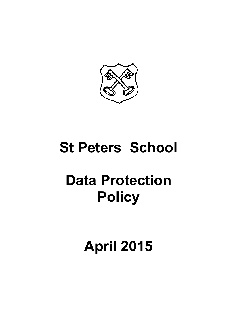

# **St Peters School**

# **Data Protection Policy**

# **April 2015**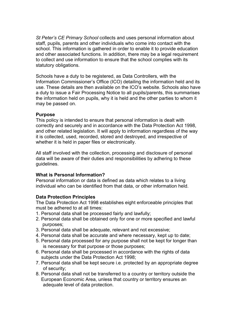*St Peter's CE Primary School* collects and uses personal information about staff, pupils, parents and other individuals who come into contact with the school. This information is gathered in order to enable it to provide education and other associated functions. In addition, there may be a legal requirement to collect and use information to ensure that the school complies with its statutory obligations.

Schools have a duty to be registered, as Data Controllers, with the Information Commissioner's Office (ICO) detailing the information held and its use. These details are then available on the ICO's website. Schools also have a duty to issue a Fair Processing Notice to all pupils/parents, this summarises the information held on pupils, why it is held and the other parties to whom it may be passed on.

#### **Purpose**

This policy is intended to ensure that personal information is dealt with correctly and securely and in accordance with the Data Protection Act 1998, and other related legislation. It will apply to information regardless of the way it is collected, used, recorded, stored and destroyed, and irrespective of whether it is held in paper files or electronically.

All staff involved with the collection, processing and disclosure of personal data will be aware of their duties and responsibilities by adhering to these guidelines.

#### **What is Personal Information?**

Personal information or data is defined as data which relates to a living individual who can be identified from that data, or other information held.

#### **Data Protection Principles**

The Data Protection Act 1998 establishes eight enforceable principles that must be adhered to at all times:

- 1. Personal data shall be processed fairly and lawfully;
- 2. Personal data shall be obtained only for one or more specified and lawful purposes;
- 3. Personal data shall be adequate, relevant and not excessive;
- 4. Personal data shall be accurate and where necessary, kept up to date;
- 5. Personal data processed for any purpose shall not be kept for longer than is necessary for that purpose or those purposes;
- 6. Personal data shall be processed in accordance with the rights of data subjects under the Data Protection Act 1998;
- 7. Personal data shall be kept secure i.e. protected by an appropriate degree of security;
- 8. Personal data shall not be transferred to a country or territory outside the European Economic Area, unless that country or territory ensures an adequate level of data protection.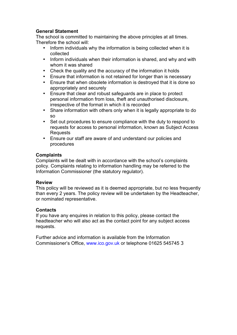## **General Statement**

The school is committed to maintaining the above principles at all times. Therefore the school will:

- Inform individuals why the information is being collected when it is collected
- Inform individuals when their information is shared, and why and with whom it was shared
- Check the quality and the accuracy of the information it holds
- Ensure that information is not retained for longer than is necessary
- Ensure that when obsolete information is destroyed that it is done so appropriately and securely
- Ensure that clear and robust safeguards are in place to protect personal information from loss, theft and unauthorised disclosure, irrespective of the format in which it is recorded
- Share information with others only when it is legally appropriate to do so
- Set out procedures to ensure compliance with the duty to respond to requests for access to personal information, known as Subject Access Requests
- Ensure our staff are aware of and understand our policies and procedures

### **Complaints**

Complaints will be dealt with in accordance with the school's complaints policy. Complaints relating to information handling may be referred to the Information Commissioner (the statutory regulator).

#### **Review**

This policy will be reviewed as it is deemed appropriate, but no less frequently than every 2 years. The policy review will be undertaken by the Headteacher, or nominated representative.

### **Contacts**

If you have any enquires in relation to this policy, please contact the headteacher who will also act as the contact point for any subject access requests.

Further advice and information is available from the Information Commissioner's Office, www.ico.gov.uk or telephone 01625 545745 3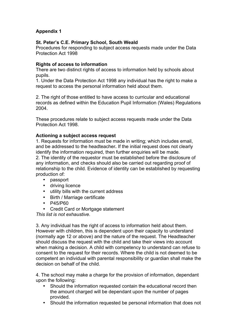# **Appendix 1**

#### **St. Peter's C.E. Primary School, South Weald**

Procedures for responding to subject access requests made under the Data Protection Act 1998

#### **Rights of access to information**

There are two distinct rights of access to information held by schools about pupils.

1. Under the Data Protection Act 1998 any individual has the right to make a request to access the personal information held about them.

2. The right of those entitled to have access to curricular and educational records as defined within the Education Pupil Information (Wales) Regulations 2004.

These procedures relate to subject access requests made under the Data Protection Act 1998.

#### **Actioning a subject access request**

1. Requests for information must be made in writing; which includes email, and be addressed to the headteacher**.** If the initial request does not clearly identify the information required, then further enquiries will be made. 2. The identity of the requestor must be established before the disclosure of any information, and checks should also be carried out regarding proof of relationship to the child. Evidence of identity can be established by requesting production of:

- passport
- driving licence
- utility bills with the current address
- Birth / Marriage certificate
- P45/P60
- Credit Card or Mortgage statement

*This list is not exhaustive*.

3. Any individual has the right of access to information held about them. However with children, this is dependent upon their capacity to understand (normally age 12 or above) and the nature of the request. The Headteacher should discuss the request with the child and take their views into account when making a decision. A child with competency to understand can refuse to consent to the request for their records. Where the child is not deemed to be competent an individual with parental responsibility or guardian shall make the decision on behalf of the child.

4. The school may make a charge for the provision of information, dependant upon the following:

- Should the information requested contain the educational record then the amount charged will be dependant upon the number of pages provided.
- Should the information requested be personal information that does not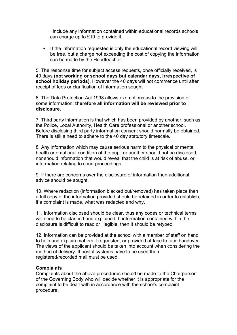include any information contained within educational records schools can charge up to £10 to provide it.

• If the information requested is only the educational record viewing will be free, but a charge not exceeding the cost of copying the information can be made by the Headteacher.

5. The response time for subject access requests, once officially received, is 40 days **(not working or school days but calendar days, irrespective of school holiday periods)**. However the 40 days will not commence until after receipt of fees or clarification of information sought

6. The Data Protection Act 1998 allows exemptions as to the provision of some information; **therefore all information will be reviewed prior to disclosure**.

7. Third party information is that which has been provided by another, such as the Police, Local Authority, Health Care professional or another school. Before disclosing third party information consent should normally be obtained. There is still a need to adhere to the 40 day statutory timescale.

8. Any information which may cause serious harm to the physical or mental health or emotional condition of the pupil or another should not be disclosed, nor should information that would reveal that the child is at risk of abuse, or information relating to court proceedings.

9. If there are concerns over the disclosure of information then additional advice should be sought.

10. Where redaction (information blacked out/removed) has taken place then a full copy of the information provided should be retained in order to establish, if a complaint is made, what was redacted and why.

11. Information disclosed should be clear, thus any codes or technical terms will need to be clarified and explained. If information contained within the disclosure is difficult to read or illegible, then it should be retyped.

12. Information can be provided at the school with a member of staff on hand to help and explain matters if requested, or provided at face to face handover. The views of the applicant should be taken into account when considering the method of delivery. If postal systems have to be used then registered/recorded mail must be used.

#### **Complaints**

Complaints about the above procedures should be made to the Chairperson of the Governing Body who will decide whether it is appropriate for the complaint to be dealt with in accordance with the school's complaint procedure.